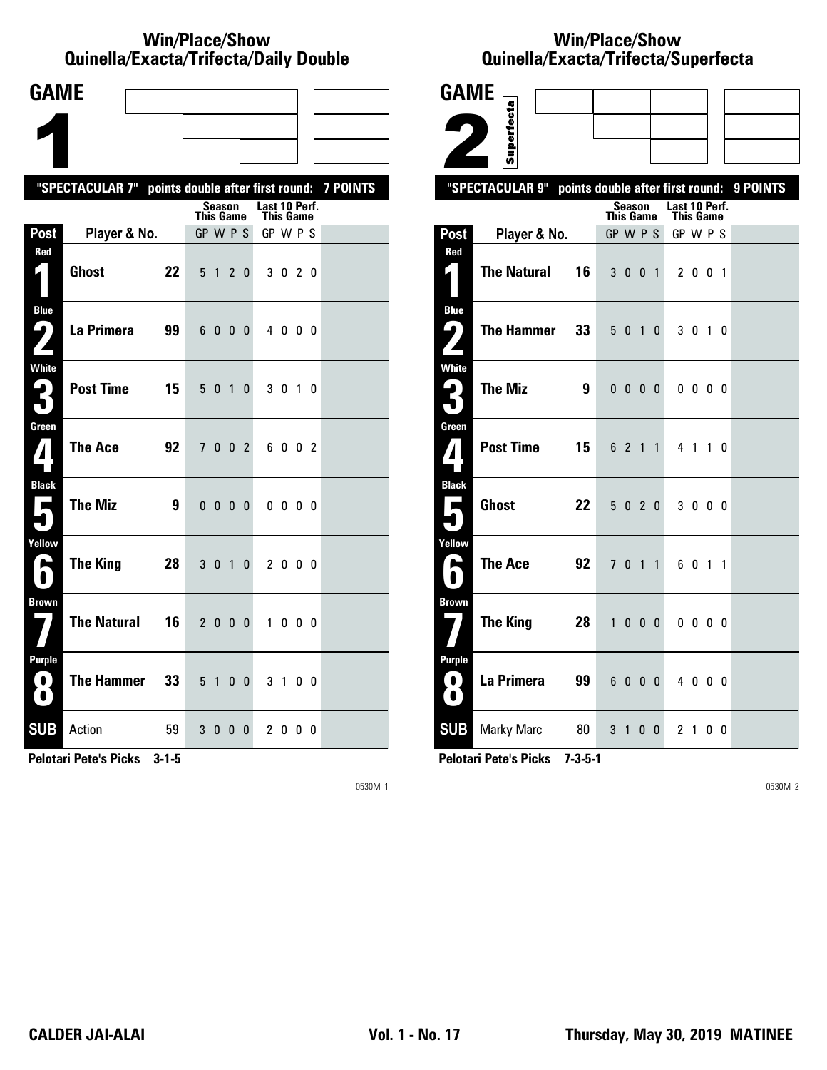#### **Win/Place/Show Qui nel la/Exacta/Tri fecta/Daily Dou ble**

| <b>GAME</b>                             |                                                           |    |                  |                |                |              |                            |              |  |  |
|-----------------------------------------|-----------------------------------------------------------|----|------------------|----------------|----------------|--------------|----------------------------|--------------|--|--|
|                                         |                                                           |    |                  |                |                |              |                            |              |  |  |
|                                         |                                                           |    |                  |                |                |              |                            |              |  |  |
|                                         | "SPECTACULAR 7" points double after first round: 7 POINTS |    |                  |                |                |              |                            |              |  |  |
|                                         |                                                           |    | <b>This Game</b> | Season         |                |              | Last 10 Perf.<br>This Game |              |  |  |
| Post                                    | Player & No.                                              |    | GP W P S         |                |                |              | GP W P S                   |              |  |  |
| Red                                     | <b>Ghost</b>                                              | 22 |                  | 5 1 2 0        |                |              |                            | 3 0 2 0      |  |  |
| <b>Blue</b><br>7<br>72                  | La Primera                                                | 99 |                  | 6000           |                |              |                            | 4000         |  |  |
| White<br>3                              | <b>Post Time</b>                                          | 15 |                  | 5 0 1          |                | $\mathbf{0}$ |                            | 3 0 1 0      |  |  |
| Green<br>$\mathbf{Z}$                   | <b>The Ace</b>                                            | 92 |                  | 7 0 0 2        |                |              |                            | 6002         |  |  |
| <b>Black</b><br>$\blacksquare$          | <b>The Miz</b>                                            | 9  |                  | $0\,0\,0\,0$   |                |              |                            | $0\,0\,0\,0$ |  |  |
| Yellow<br>$\blacktriangleright$         | <b>The King</b>                                           | 28 | 3 <sub>0</sub>   |                | $\overline{1}$ | $\mathbf{0}$ |                            | 2000         |  |  |
| <b>Brown</b>                            | <b>The Natural</b>                                        | 16 |                  | 2000           |                |              |                            | 1000         |  |  |
| <b>Purple</b><br>$\left( 0\right)$<br>O | <b>The Hammer</b>                                         | 33 |                  | 5 <sub>1</sub> | 0 <sub>0</sub> |              |                            | 3 1 0 0      |  |  |
| <b>SUB</b>                              | Action                                                    | 59 |                  | 3 0 0 0        |                |              |                            | 2000         |  |  |

**Pelotari Pete's Picks 3-1-5**

0530M 1

# **Win/Place/Show Qui nel la/Exacta/Tri fecta/Super fecta**

| <b>GAME</b>                            |                                                     |              |                              |                   |              |                              |                |                   |          |
|----------------------------------------|-----------------------------------------------------|--------------|------------------------------|-------------------|--------------|------------------------------|----------------|-------------------|----------|
|                                        |                                                     |              |                              |                   |              |                              |                |                   |          |
|                                        | Superfecta                                          |              |                              |                   |              |                              |                |                   |          |
|                                        |                                                     |              |                              |                   |              |                              |                |                   |          |
|                                        | "SPECTACULAR 9"<br>points double after first round: |              | Season                       |                   |              | Last 10 Perf.                |                |                   | 9 POINTS |
| Post                                   | Player & No.                                        |              | <b>This Game</b><br>GP W P S |                   |              | <b>This Game</b><br>GP W P S |                |                   |          |
| Red                                    |                                                     |              |                              |                   |              |                              |                |                   |          |
| $\zeta$ )                              | <b>The Natural</b><br>16                            |              | 3 0 0 1                      |                   |              |                              | 2 0 0 1        |                   |          |
| <b>Blue</b><br>$\bm{\omega}$ ,         | <b>The Hammer</b><br>33                             |              | 501                          |                   | 0            |                              | 3 <sub>0</sub> | $1\quad$ $\Omega$ |          |
| <b>White</b><br>$\mathbf{G}_\parallel$ | <b>The Miz</b><br>9                                 |              | $0\ 0\ 0\ 0$                 |                   |              |                              | $0\,0\,0\,0$   |                   |          |
| Green<br>${\bf Z}$                     | <b>Post Time</b><br>15                              |              | 6 2 1                        |                   | $\mathbf{1}$ |                              | 4 1 1 0        |                   |          |
| <b>Black</b><br>П                      | <b>Ghost</b><br>22                                  |              | 5 0 2 0                      |                   |              |                              | 3000           |                   |          |
| Yellow<br>►                            | <b>The Ace</b><br>92                                | $7^{\circ}$  |                              | 0 <sub>1</sub>    | $\mathbf{1}$ |                              | 6 0 1 1        |                   |          |
| <b>Brown</b>                           | <b>The King</b><br>28                               | $\mathbf{1}$ |                              | $0\quad 0\quad 0$ |              |                              | $0\,0\,0\,0$   |                   |          |
| <b>Purple</b><br>0<br>$\bullet$        | La Primera<br>99                                    |              | 6000                         |                   |              |                              | 4000           |                   |          |
| <b>SUB</b>                             | Marky Marc<br>80                                    |              | 3 1 0 0                      |                   |              |                              | 2 1 0 0        |                   |          |

**Pelotari Pete's Picks 7-3-5-1**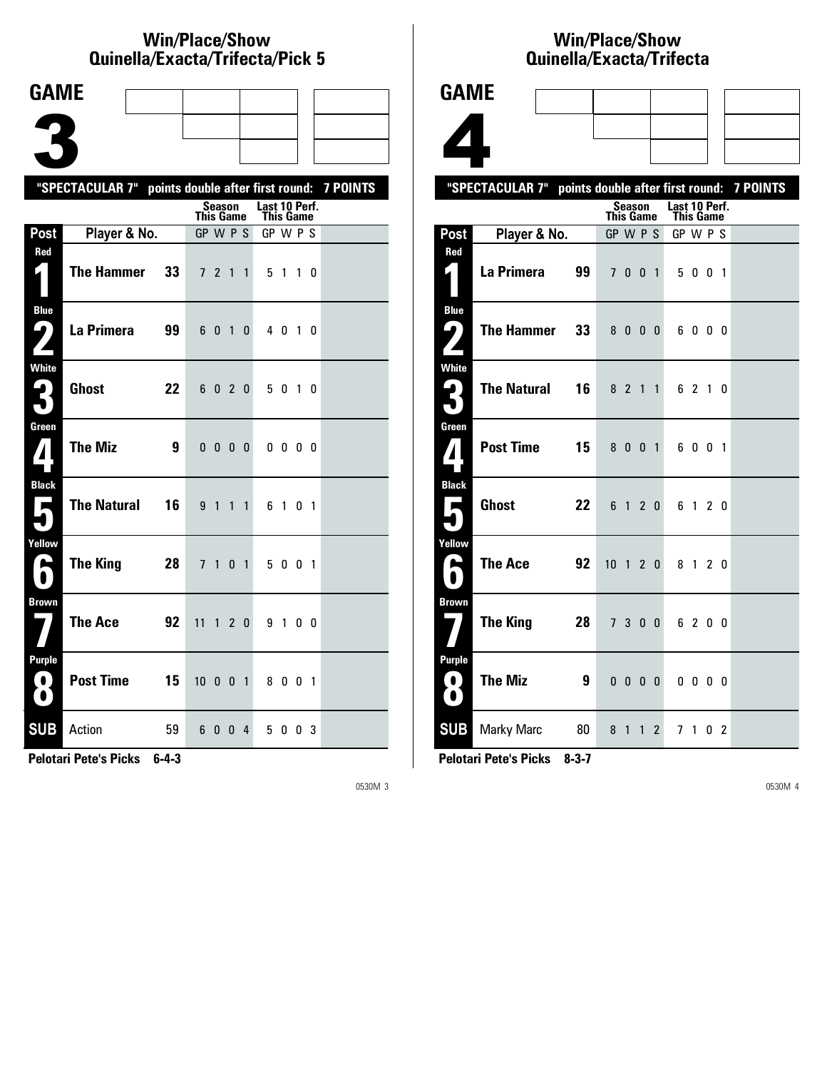### **Win/Place/Show Quinella/Exacta/Trifecta/Pick 5**

| <b>GAME</b>                          |                                                           |    |                       |              |                |                |                       |              |                |  |
|--------------------------------------|-----------------------------------------------------------|----|-----------------------|--------------|----------------|----------------|-----------------------|--------------|----------------|--|
|                                      |                                                           |    |                       |              |                |                |                       |              |                |  |
|                                      |                                                           |    |                       |              |                |                |                       |              |                |  |
|                                      | "SPECTACULAR 7" points double after first round: 7 POINTS |    |                       |              |                |                |                       |              |                |  |
|                                      |                                                           |    |                       | Season       |                |                | Last 10 Perf.         |              |                |  |
| Post                                 | Player & No.                                              |    | This Game<br>GP W P S |              |                |                | This Game<br>GP W P S |              |                |  |
| Red                                  |                                                           |    |                       |              |                |                |                       |              |                |  |
| $\boldsymbol{\zeta}$ )               | <b>The Hammer</b>                                         | 33 |                       | 721          |                | $\mathbf{1}$   |                       | 5 1 1 0      |                |  |
| <b>Blue</b><br>91                    | La Primera                                                | 99 | 6                     | $\bf{0}$     | 1              | $\mathbf{0}$   |                       | 4010         |                |  |
| <b>White</b><br>2)<br>$\blacksquare$ | <b>Ghost</b>                                              | 22 | 6                     |              | 0 <sub>2</sub> | $\mathbf{0}$   |                       | 5 0 1 0      |                |  |
| Green<br>$\mathbf{Z}$                | <b>The Miz</b>                                            | 9  | 0 <sub>0</sub>        |              | 0 <sub>0</sub> |                |                       | $0\,0\,0\,0$ |                |  |
| <b>Black</b><br>п                    | <b>The Natural</b>                                        | 16 | 9 <sub>1</sub>        |              | $\mathbf{1}$   | $\mathbf{1}$   |                       | 61           | 0 <sub>1</sub> |  |
| Yellow<br>E                          | <b>The King</b>                                           | 28 | $\overline{7}$        | $\mathbf{1}$ | 0              | $\overline{1}$ |                       | 50           | 0 <sub>1</sub> |  |
| <b>Brown</b>                         | <b>The Ace</b>                                            | 92 | $11 \quad 1$          |              |                | 2 <sub>0</sub> |                       | 9 1 0 0      |                |  |
| Purple<br>$\bf{O}$<br>Ð              | <b>Post Time</b>                                          | 15 | 10001                 |              |                |                |                       | 8001         |                |  |
| <b>SUB</b>                           | Action                                                    | 59 |                       | 6 0 0 4      |                |                |                       | 5 0 0 3      |                |  |

**Pelotari Pete's Picks 6-4-3**

0530M 3

### **Win/Place/Show Qui nel la/Exacta/Tri fecta**



**7 The King 28** 7 3 0 0 6 2 0 0

**8 The Miz 9** 0 0 0 0 0 0 0 0

**SUB** Marky Marc 80 8 1 1 2 7 1 0 2

**Pelotari Pete's Picks 8-3-7**

**Brown**

**Pur ple**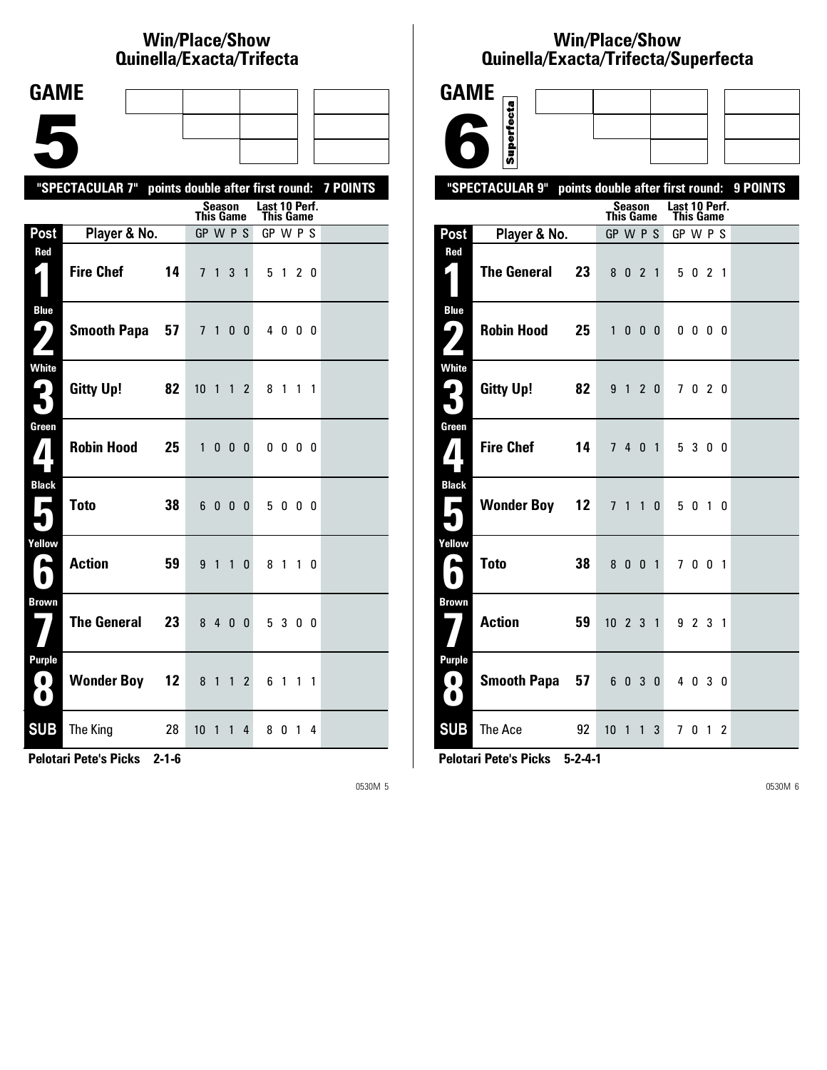# **Win/Place/Show Qui nel la/Exacta/Tri fecta**

| <b>GAME</b>                                               |                                                           |                                   |                |                          |    |  |
|-----------------------------------------------------------|-----------------------------------------------------------|-----------------------------------|----------------|--------------------------|----|--|
|                                                           |                                                           |                                   |                |                          |    |  |
|                                                           |                                                           |                                   |                |                          |    |  |
|                                                           | "SPECTACULAR 7" points double after first round: 7 POINTS |                                   |                |                          |    |  |
|                                                           |                                                           | <b>Season</b>                     |                | Last 10 Perf.            |    |  |
| Post                                                      | Player & No.                                              | This Game<br>GP W P S             |                | This Game<br>GP W P S    |    |  |
| Red<br>$\boldsymbol{\zeta}$ ,                             | <b>Fire Chef</b><br>14                                    | 7 1 3 1                           |                | 5 1 2 0                  |    |  |
| <b>Blue</b><br>$\mathsf{L}_l$<br>$\overline{\phantom{a}}$ | <b>Smooth Papa 57</b>                                     | 7 1 0 0                           |                | 4000                     |    |  |
| <b>White</b><br>$\mathbf{R}$                              | Gitty Up!<br>82                                           | 10 <sub>1</sub><br>$\overline{1}$ | $\overline{2}$ | 8 1 1 1                  |    |  |
| Green<br>4                                                | Robin Hood 25                                             | 1 0 0 0                           |                | $0\quad 0\quad 0\quad 0$ |    |  |
| <b>Black</b><br>×                                         | <b>Toto</b><br>38                                         | 6000                              |                | 5000                     |    |  |
| Yellow<br>N<br>$\blacksquare$                             | <b>Action</b><br>59                                       | 9 1 1                             | 0              | 8 1 1 0                  |    |  |
| <b>Brown</b>                                              | <b>The General</b><br>23 <sup>°</sup>                     | 8 4 0 0                           |                | 5 3 0 0                  |    |  |
| <b>Purple</b><br>$\left( 0\right)$<br>0                   | <b>Wonder Boy 12</b>                                      | 8 1 1                             | $\overline{2}$ | 6 1 1 1                  |    |  |
| <b>SUB</b>                                                | The King<br>28                                            | 10 <sub>1</sub><br>$\mathbf{1}$   | 4              | 80                       | 14 |  |
|                                                           | Balatari Batala Bialza<br>24C                             |                                   |                |                          |    |  |

**Pelotari Pete's Picks 2-1-6**

0530M 5

### **Win/Place/Show Qui nel la/Exacta/Tri fecta/Super fecta**

| <b>GAME</b>                              |                                                           |                 |                  |                |                |              |                                   |              |    |  |
|------------------------------------------|-----------------------------------------------------------|-----------------|------------------|----------------|----------------|--------------|-----------------------------------|--------------|----|--|
|                                          | Superfecta                                                |                 |                  |                |                |              |                                   |              |    |  |
|                                          |                                                           |                 |                  |                |                |              |                                   |              |    |  |
|                                          | "SPECTACULAR 9" points double after first round: 9 POINTS |                 |                  |                |                |              |                                   |              |    |  |
|                                          |                                                           |                 | <b>This Game</b> | <b>Season</b>  |                |              | Last 10 Perf.<br><b>This Game</b> |              |    |  |
| Post                                     | Player & No.                                              |                 | GP W P S         |                |                |              | GP W P S                          |              |    |  |
| Red<br>$\zeta$                           | <b>The General</b>                                        | 23              |                  | 8 0 2 1        |                |              |                                   | 5 0 2 1      |    |  |
| <b>Blue</b><br>5                         | <b>Robin Hood</b>                                         | 25              | $\mathbf{1}$     | 0 <sub>0</sub> |                | 0            |                                   | $0\,0\,0\,0$ |    |  |
| <b>White</b><br>5                        | <b>Gitty Up!</b>                                          | 82              |                  | 9 1 2 0        |                |              |                                   | 7020         |    |  |
| Green<br>$\boldsymbol{I}$                | <b>Fire Chef</b>                                          | 14              | 7 <sup>7</sup>   | 4 0 1          |                |              |                                   | 5 3 0 0      |    |  |
| <b>Black</b><br>$\overline{\phantom{a}}$ | <b>Wonder Boy</b>                                         | 12 <sub>2</sub> | 7 <sub>1</sub>   |                | $\overline{1}$ | $\mathbf{0}$ | 50                                |              | 10 |  |
| Yellow<br>А<br>$\blacksquare$            | <b>Toto</b>                                               | 38              |                  | 8 0 0 1        |                |              |                                   | 7001         |    |  |
| <b>Brown</b>                             | <b>Action</b>                                             | 59              | $10$ 2 3 1       |                |                |              |                                   | 9 2 3 1      |    |  |
| <b>Purple</b><br>0<br>$\bullet$          | <b>Smooth Papa</b>                                        | 57              |                  | 6 0 3          |                | $\mathbf{0}$ |                                   | 4 0 3 0      |    |  |
| <b>SUB</b>                               | The Ace                                                   | 92              | $10 \t1 \t1$     |                |                | 3            |                                   | 7012         |    |  |

**Pelotari Pete's Picks 5-2-4-1**